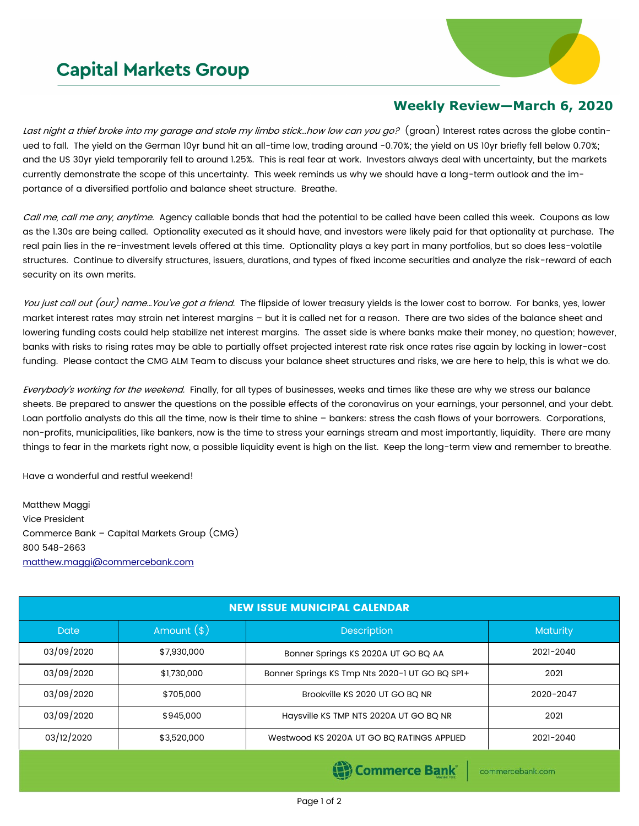## **Capital Markets Group**



## **Weekly Review—March 6, 2020**

Last night a thief broke into my garage and stole my limbo stick...how low can you go? (groan) Interest rates across the globe continued to fall. The yield on the German 10yr bund hit an all-time low, trading around -0.70%; the yield on US 10yr briefly fell below 0.70%; and the US 30yr yield temporarily fell to around 1.25%. This is real fear at work. Investors always deal with uncertainty, but the markets currently demonstrate the scope of this uncertainty. This week reminds us why we should have a long-term outlook and the importance of a diversified portfolio and balance sheet structure. Breathe.

Call me, call me any, anytime. Agency callable bonds that had the potential to be called have been called this week. Coupons as low as the 1.30s are being called. Optionality executed as it should have, and investors were likely paid for that optionality at purchase. The real pain lies in the re-investment levels offered at this time. Optionality plays a key part in many portfolios, but so does less-volatile structures. Continue to diversify structures, issuers, durations, and types of fixed income securities and analyze the risk-reward of each security on its own merits.

You just call out (our) name... You've got a friend. The flipside of lower treasury yields is the lower cost to borrow. For banks, yes, lower market interest rates may strain net interest margins – but it is called net for a reason. There are two sides of the balance sheet and lowering funding costs could help stabilize net interest margins. The asset side is where banks make their money, no question; however, banks with risks to rising rates may be able to partially offset projected interest rate risk once rates rise again by locking in lower-cost funding. Please contact the CMG ALM Team to discuss your balance sheet structures and risks, we are here to help, this is what we do.

Everybody's working for the weekend. Finally, for all types of businesses, weeks and times like these are why we stress our balance sheets. Be prepared to answer the questions on the possible effects of the coronavirus on your earnings, your personnel, and your debt. Loan portfolio analysts do this all the time, now is their time to shine – bankers: stress the cash flows of your borrowers. Corporations, non-profits, municipalities, like bankers, now is the time to stress your earnings stream and most importantly, liquidity. There are many things to fear in the markets right now, a possible liquidity event is high on the list. Keep the long-term view and remember to breathe.

Have a wonderful and restful weekend!

Matthew Maggi Vice President Commerce Bank – Capital Markets Group (CMG) 800 548-2663 [matthew.maggi@commercebank.com](mailto:matthew.maggi@commercebank.com)

| <b>NEW ISSUE MUNICIPAL CALENDAR</b> |              |                                                |                 |  |  |
|-------------------------------------|--------------|------------------------------------------------|-----------------|--|--|
| <b>Date</b>                         | Amount $(*)$ | <b>Description</b>                             | <b>Maturity</b> |  |  |
| 03/09/2020                          | \$7,930,000  | Bonner Springs KS 2020A UT GO BQ AA            | 2021-2040       |  |  |
| 03/09/2020                          | \$1,730,000  | Bonner Springs KS Tmp Nts 2020-1 UT GO BQ SP1+ | 2021            |  |  |
| 03/09/2020                          | \$705,000    | Brookville KS 2020 UT GO BQ NR                 | 2020-2047       |  |  |
| 03/09/2020                          | \$945,000    | Haysville KS TMP NTS 2020A UT GO BQ NR         | 2021            |  |  |
| 03/12/2020                          | \$3,520,000  | Westwood KS 2020A UT GO BQ RATINGS APPLIED     | 2021-2040       |  |  |

**Commerce Bank** 

commercebank.com